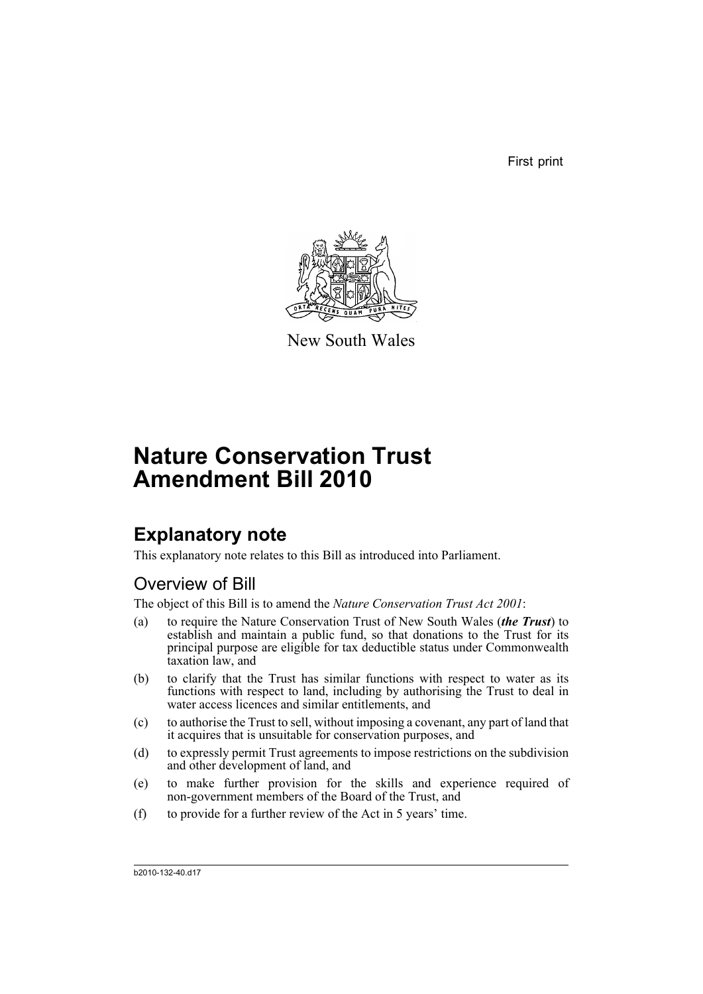First print



New South Wales

# **Nature Conservation Trust Amendment Bill 2010**

## **Explanatory note**

This explanatory note relates to this Bill as introduced into Parliament.

## Overview of Bill

The object of this Bill is to amend the *Nature Conservation Trust Act 2001*:

- (a) to require the Nature Conservation Trust of New South Wales (*the Trust*) to establish and maintain a public fund, so that donations to the Trust for its principal purpose are eligible for tax deductible status under Commonwealth taxation law, and
- (b) to clarify that the Trust has similar functions with respect to water as its functions with respect to land, including by authorising the Trust to deal in water access licences and similar entitlements, and
- (c) to authorise the Trust to sell, without imposing a covenant, any part of land that it acquires that is unsuitable for conservation purposes, and
- (d) to expressly permit Trust agreements to impose restrictions on the subdivision and other development of land, and
- (e) to make further provision for the skills and experience required of non-government members of the Board of the Trust, and
- (f) to provide for a further review of the Act in 5 years' time.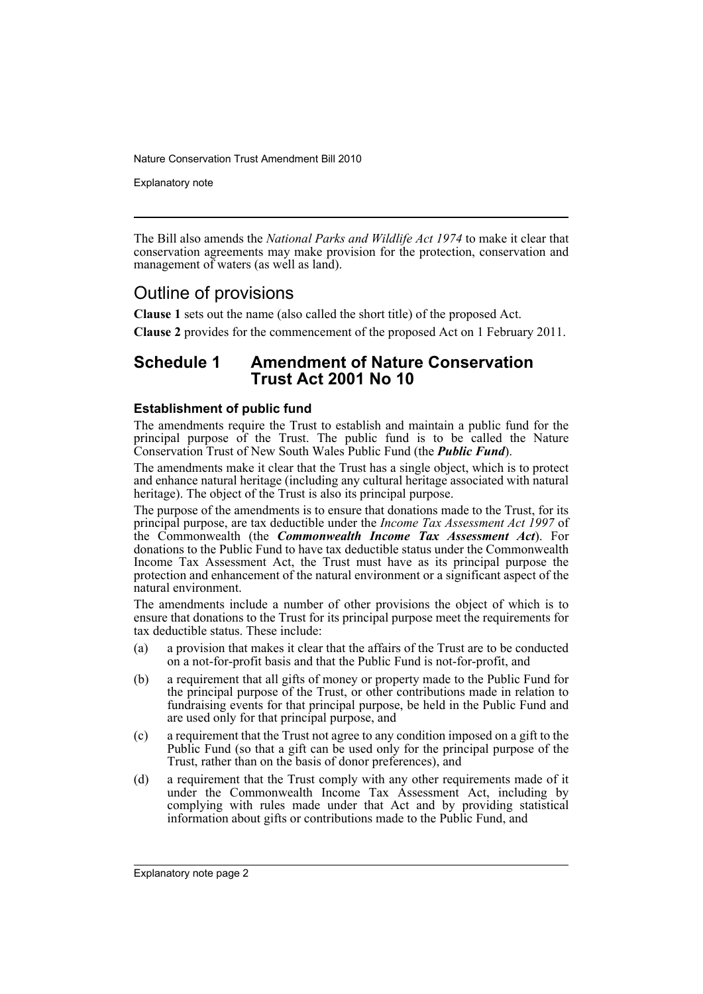Explanatory note

The Bill also amends the *National Parks and Wildlife Act 1974* to make it clear that conservation agreements may make provision for the protection, conservation and management of waters (as well as land).

## Outline of provisions

**Clause 1** sets out the name (also called the short title) of the proposed Act.

**Clause 2** provides for the commencement of the proposed Act on 1 February 2011.

## **Schedule 1 Amendment of Nature Conservation Trust Act 2001 No 10**

#### **Establishment of public fund**

The amendments require the Trust to establish and maintain a public fund for the principal purpose of the Trust. The public fund is to be called the Nature Conservation Trust of New South Wales Public Fund (the *Public Fund*).

The amendments make it clear that the Trust has a single object, which is to protect and enhance natural heritage (including any cultural heritage associated with natural heritage). The object of the Trust is also its principal purpose.

The purpose of the amendments is to ensure that donations made to the Trust, for its principal purpose, are tax deductible under the *Income Tax Assessment Act 1997* of the Commonwealth (the *Commonwealth Income Tax Assessment Act*). For donations to the Public Fund to have tax deductible status under the Commonwealth Income Tax Assessment Act, the Trust must have as its principal purpose the protection and enhancement of the natural environment or a significant aspect of the natural environment.

The amendments include a number of other provisions the object of which is to ensure that donations to the Trust for its principal purpose meet the requirements for tax deductible status. These include:

- (a) a provision that makes it clear that the affairs of the Trust are to be conducted on a not-for-profit basis and that the Public Fund is not-for-profit, and
- (b) a requirement that all gifts of money or property made to the Public Fund for the principal purpose of the Trust, or other contributions made in relation to fundraising events for that principal purpose, be held in the Public Fund and are used only for that principal purpose, and
- (c) a requirement that the Trust not agree to any condition imposed on a gift to the Public Fund (so that a gift can be used only for the principal purpose of the Trust, rather than on the basis of donor preferences), and
- (d) a requirement that the Trust comply with any other requirements made of it under the Commonwealth Income Tax Assessment Act, including by complying with rules made under that Act and by providing statistical information about gifts or contributions made to the Public Fund, and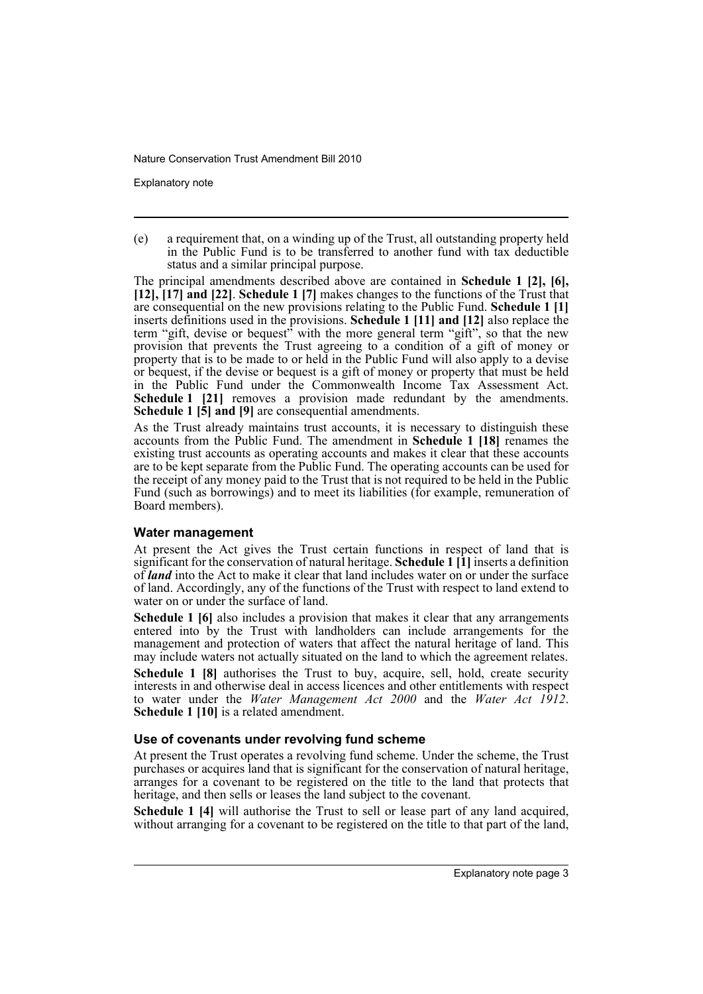Explanatory note

(e) a requirement that, on a winding up of the Trust, all outstanding property held in the Public Fund is to be transferred to another fund with tax deductible status and a similar principal purpose.

The principal amendments described above are contained in **Schedule 1 [2], [6], [12], [17] and [22]**. **Schedule 1 [7]** makes changes to the functions of the Trust that are consequential on the new provisions relating to the Public Fund. **Schedule 1 [1]** inserts definitions used in the provisions. **Schedule 1 [11] and [12]** also replace the term "gift, devise or bequest" with the more general term "gift", so that the new provision that prevents the Trust agreeing to a condition of a gift of money or property that is to be made to or held in the Public Fund will also apply to a devise or bequest, if the devise or bequest is a gift of money or property that must be held in the Public Fund under the Commonwealth Income Tax Assessment Act. **Schedule 1 [21]** removes a provision made redundant by the amendments. **Schedule 1 [5] and [9]** are consequential amendments.

As the Trust already maintains trust accounts, it is necessary to distinguish these accounts from the Public Fund. The amendment in **Schedule 1 [18]** renames the existing trust accounts as operating accounts and makes it clear that these accounts are to be kept separate from the Public Fund. The operating accounts can be used for the receipt of any money paid to the Trust that is not required to be held in the Public Fund (such as borrowings) and to meet its liabilities (for example, remuneration of Board members).

#### **Water management**

At present the Act gives the Trust certain functions in respect of land that is significant for the conservation of natural heritage. **Schedule 1 [1]** inserts a definition of *land* into the Act to make it clear that land includes water on or under the surface of land. Accordingly, any of the functions of the Trust with respect to land extend to water on or under the surface of land.

**Schedule 1 [6]** also includes a provision that makes it clear that any arrangements entered into by the Trust with landholders can include arrangements for the management and protection of waters that affect the natural heritage of land. This may include waters not actually situated on the land to which the agreement relates.

**Schedule 1 [8]** authorises the Trust to buy, acquire, sell, hold, create security interests in and otherwise deal in access licences and other entitlements with respect to water under the *Water Management Act 2000* and the *Water Act 1912*. **Schedule 1 [10]** is a related amendment.

#### **Use of covenants under revolving fund scheme**

At present the Trust operates a revolving fund scheme. Under the scheme, the Trust purchases or acquires land that is significant for the conservation of natural heritage, arranges for a covenant to be registered on the title to the land that protects that heritage, and then sells or leases the land subject to the covenant.

**Schedule 1 [4]** will authorise the Trust to sell or lease part of any land acquired, without arranging for a covenant to be registered on the title to that part of the land,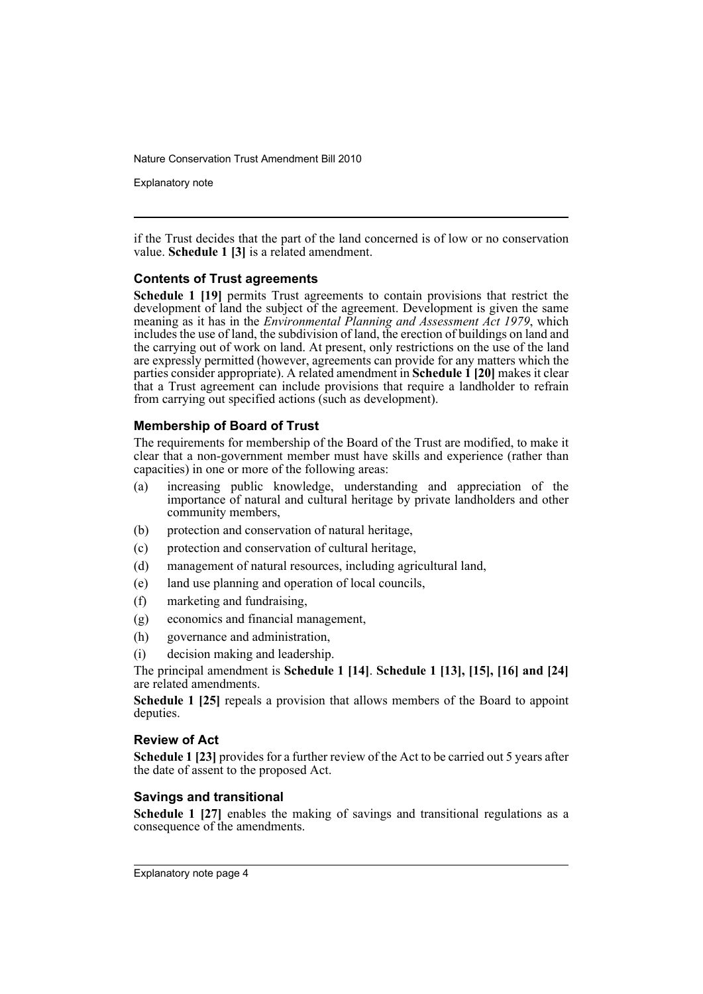Explanatory note

if the Trust decides that the part of the land concerned is of low or no conservation value. **Schedule 1 [3]** is a related amendment.

#### **Contents of Trust agreements**

**Schedule 1 [19]** permits Trust agreements to contain provisions that restrict the development of land the subject of the agreement. Development is given the same meaning as it has in the *Environmental Planning and Assessment Act 1979*, which includes the use of land, the subdivision of land, the erection of buildings on land and the carrying out of work on land. At present, only restrictions on the use of the land are expressly permitted (however, agreements can provide for any matters which the parties consider appropriate). A related amendment in **Schedule 1 [20]** makes it clear that a Trust agreement can include provisions that require a landholder to refrain from carrying out specified actions (such as development).

#### **Membership of Board of Trust**

The requirements for membership of the Board of the Trust are modified, to make it clear that a non-government member must have skills and experience (rather than capacities) in one or more of the following areas:

- (a) increasing public knowledge, understanding and appreciation of the importance of natural and cultural heritage by private landholders and other community members,
- (b) protection and conservation of natural heritage,
- (c) protection and conservation of cultural heritage,
- (d) management of natural resources, including agricultural land,
- (e) land use planning and operation of local councils,
- (f) marketing and fundraising,
- (g) economics and financial management,
- (h) governance and administration,
- (i) decision making and leadership.

The principal amendment is **Schedule 1 [14]**. **Schedule 1 [13], [15], [16] and [24]** are related amendments.

**Schedule 1 [25]** repeals a provision that allows members of the Board to appoint deputies.

#### **Review of Act**

**Schedule 1 [23]** provides for a further review of the Act to be carried out 5 years after the date of assent to the proposed Act.

#### **Savings and transitional**

**Schedule 1 [27]** enables the making of savings and transitional regulations as a consequence of the amendments.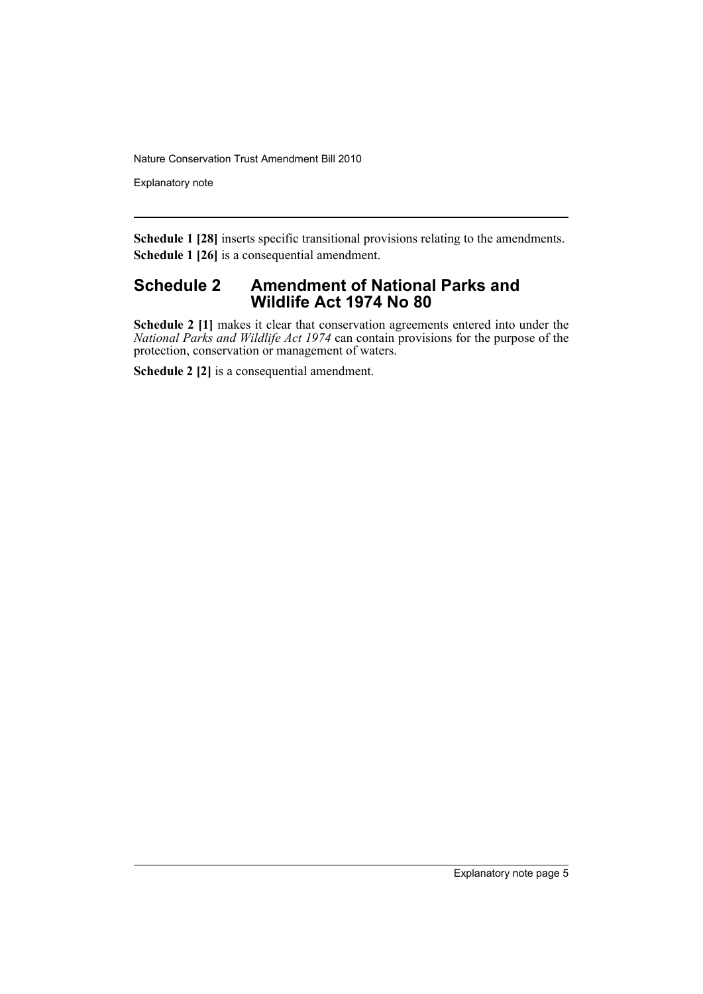Explanatory note

**Schedule 1 [28]** inserts specific transitional provisions relating to the amendments. **Schedule 1 [26]** is a consequential amendment.

### **Schedule 2 Amendment of National Parks and Wildlife Act 1974 No 80**

**Schedule 2** [1] makes it clear that conservation agreements entered into under the *National Parks and Wildlife Act 1974* can contain provisions for the purpose of the protection, conservation or management of waters.

**Schedule 2 [2]** is a consequential amendment.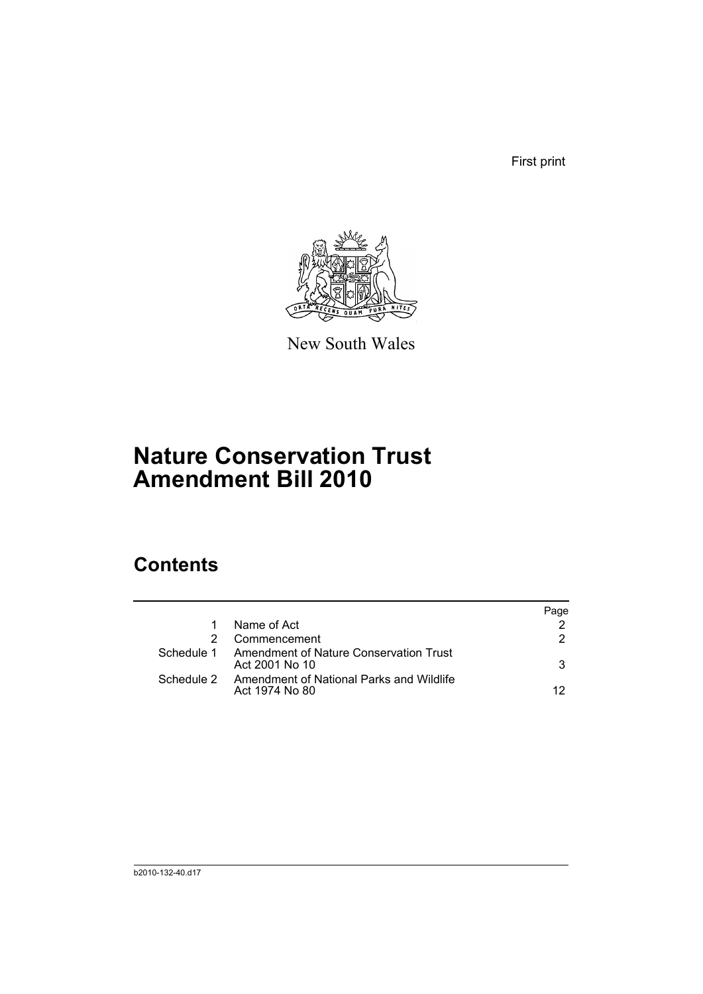First print



New South Wales

# **Nature Conservation Trust Amendment Bill 2010**

## **Contents**

|                                                                       | Page |
|-----------------------------------------------------------------------|------|
| Name of Act                                                           |      |
| Commencement                                                          | 2.   |
| Schedule 1 Amendment of Nature Conservation Trust<br>Act 2001 No 10   | 3    |
| Schedule 2 Amendment of National Parks and Wildlife<br>Act 1974 No 80 | 12.  |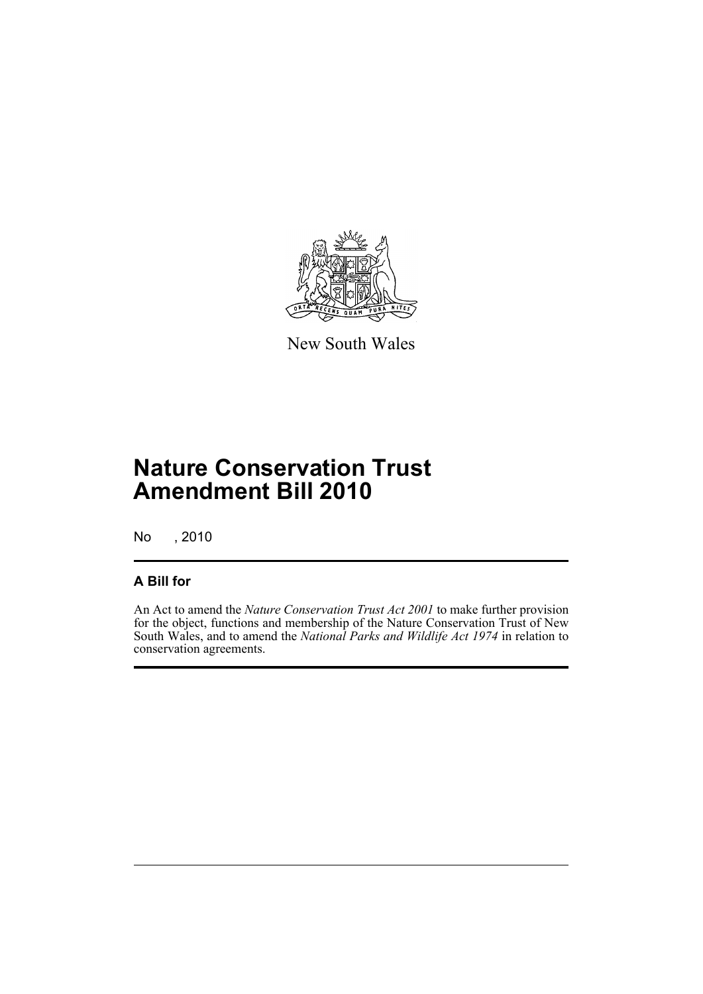

New South Wales

# **Nature Conservation Trust Amendment Bill 2010**

No , 2010

## **A Bill for**

An Act to amend the *Nature Conservation Trust Act 2001* to make further provision for the object, functions and membership of the Nature Conservation Trust of New South Wales, and to amend the *National Parks and Wildlife Act 1974* in relation to conservation agreements.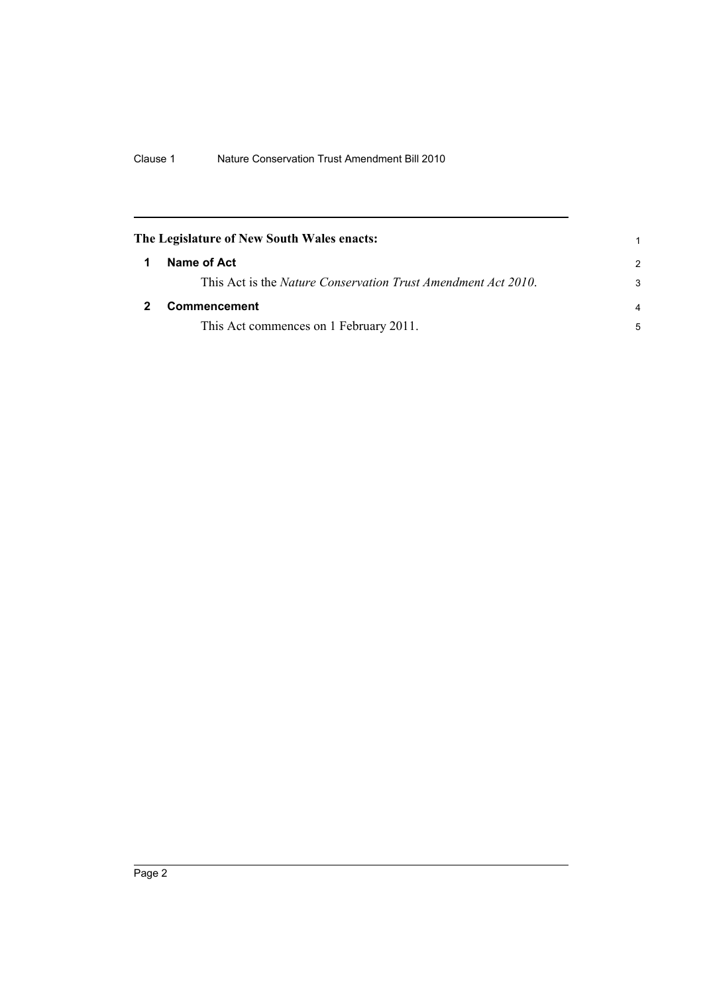<span id="page-9-1"></span><span id="page-9-0"></span>

|   | The Legislature of New South Wales enacts:                            |                |
|---|-----------------------------------------------------------------------|----------------|
| 1 | Name of Act                                                           | $\mathcal{P}$  |
|   | This Act is the <i>Nature Conservation Trust Amendment Act 2010</i> . | 3              |
|   | <b>Commencement</b>                                                   | $\overline{a}$ |
|   | This Act commences on 1 February 2011.                                | 5              |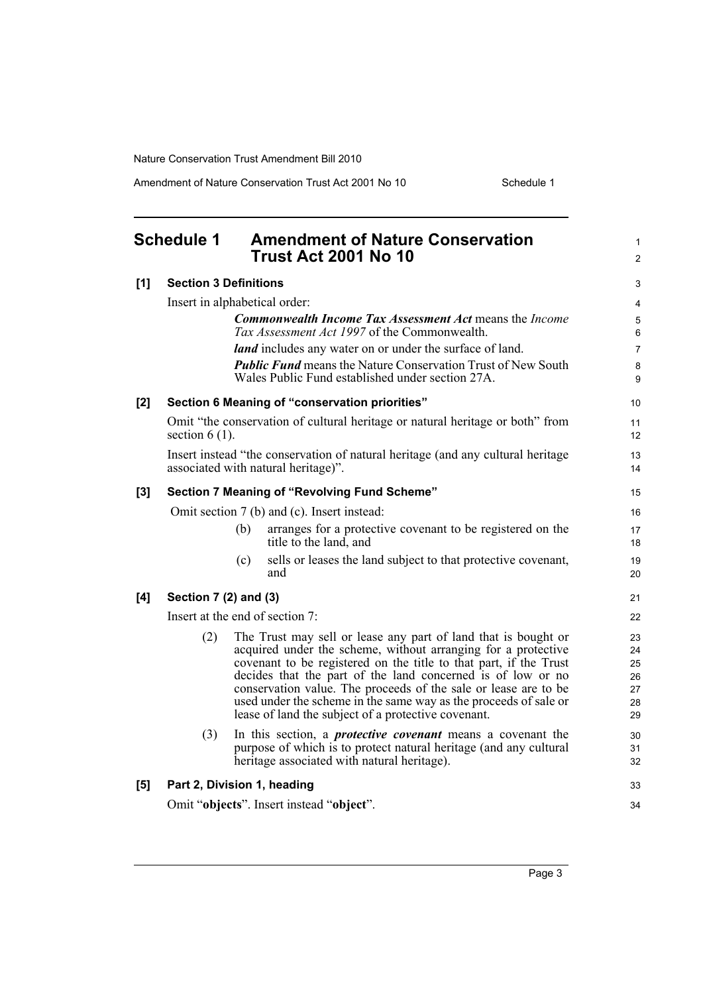Amendment of Nature Conservation Trust Act 2001 No 10 Schedule 1

<span id="page-10-0"></span>

|       | <b>Schedule 1</b>                           |     | <b>Amendment of Nature Conservation</b><br><b>Trust Act 2001 No 10</b>                                                                 | 1<br>$\overline{2}$ |  |
|-------|---------------------------------------------|-----|----------------------------------------------------------------------------------------------------------------------------------------|---------------------|--|
| [1]   | <b>Section 3 Definitions</b>                |     |                                                                                                                                        | 3                   |  |
|       | Insert in alphabetical order:               |     |                                                                                                                                        | 4                   |  |
|       |                                             |     | <b>Commonwealth Income Tax Assessment Act means the Income</b>                                                                         | 5                   |  |
|       |                                             |     | Tax Assessment Act 1997 of the Commonwealth.                                                                                           | 6                   |  |
|       |                                             |     | <i>land</i> includes any water on or under the surface of land.<br><b>Public Fund</b> means the Nature Conservation Trust of New South | 7<br>8              |  |
|       |                                             |     | Wales Public Fund established under section 27A.                                                                                       | 9                   |  |
| [2]   |                                             |     | Section 6 Meaning of "conservation priorities"                                                                                         | 10                  |  |
|       | section $6(1)$ .                            |     | Omit "the conservation of cultural heritage or natural heritage or both" from                                                          | 11<br>12            |  |
|       |                                             |     | Insert instead "the conservation of natural heritage (and any cultural heritage<br>associated with natural heritage)".                 | 13<br>14            |  |
| $[3]$ |                                             |     | Section 7 Meaning of "Revolving Fund Scheme"                                                                                           | 15                  |  |
|       | Omit section 7 (b) and (c). Insert instead: |     |                                                                                                                                        |                     |  |
|       |                                             | (b) | arranges for a protective covenant to be registered on the<br>title to the land, and                                                   | 17<br>18            |  |
|       |                                             | (c) | sells or leases the land subject to that protective covenant,<br>and                                                                   | 19<br>20            |  |
| [4]   | Section 7 (2) and (3)                       |     |                                                                                                                                        | 21                  |  |
|       |                                             |     | Insert at the end of section 7:                                                                                                        | 22                  |  |
|       | (2)                                         |     | The Trust may sell or lease any part of land that is bought or                                                                         | 23                  |  |
|       |                                             |     | acquired under the scheme, without arranging for a protective<br>covenant to be registered on the title to that part, if the Trust     | 24<br>25            |  |
|       |                                             |     | decides that the part of the land concerned is of low or no                                                                            | 26                  |  |
|       |                                             |     | conservation value. The proceeds of the sale or lease are to be<br>used under the scheme in the same way as the proceeds of sale or    | 27                  |  |
|       |                                             |     | lease of land the subject of a protective covenant.                                                                                    | 28<br>29            |  |
|       | (3)                                         |     | In this section, a <i>protective covenant</i> means a covenant the                                                                     | 30                  |  |
|       |                                             |     | purpose of which is to protect natural heritage (and any cultural<br>heritage associated with natural heritage).                       | 31<br>32            |  |
| [5]   | Part 2, Division 1, heading                 |     |                                                                                                                                        | 33                  |  |
|       |                                             |     | Omit "objects". Insert instead "object".                                                                                               | 34                  |  |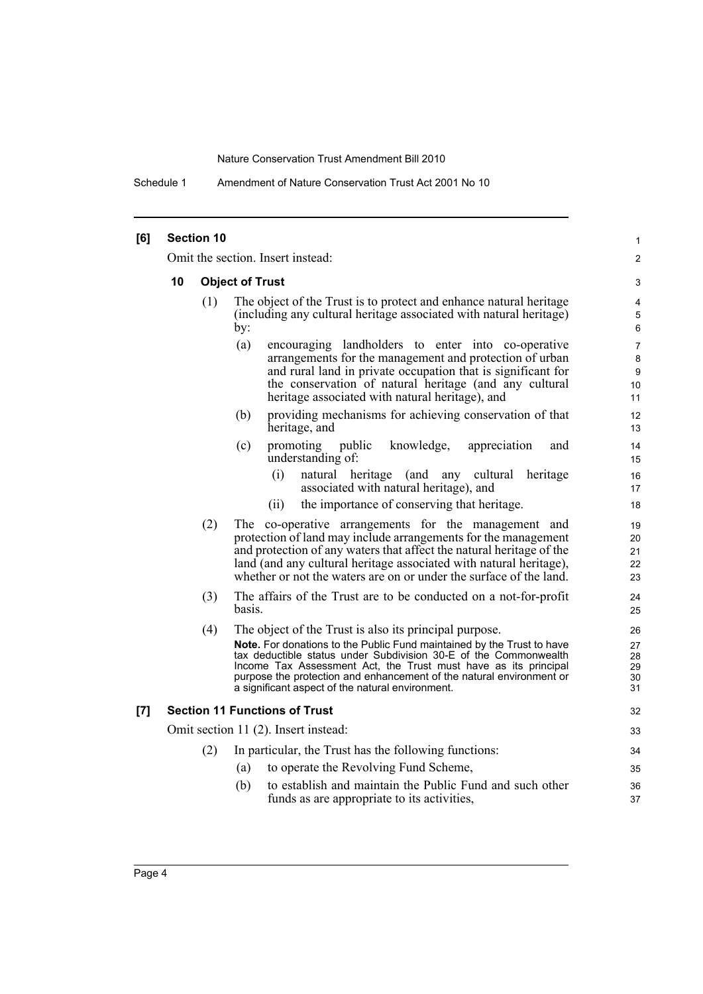Schedule 1 Amendment of Nature Conservation Trust Act 2001 No 10

| [6] |                                                                                                                | <b>Section 10</b> |                                                                                                                                                                                                                                                                                                                                                                                                     | 1                                    |  |  |  |
|-----|----------------------------------------------------------------------------------------------------------------|-------------------|-----------------------------------------------------------------------------------------------------------------------------------------------------------------------------------------------------------------------------------------------------------------------------------------------------------------------------------------------------------------------------------------------------|--------------------------------------|--|--|--|
|     | Omit the section. Insert instead:                                                                              |                   |                                                                                                                                                                                                                                                                                                                                                                                                     |                                      |  |  |  |
|     | <b>Object of Trust</b><br>10                                                                                   |                   |                                                                                                                                                                                                                                                                                                                                                                                                     |                                      |  |  |  |
|     |                                                                                                                | (1)               | The object of the Trust is to protect and enhance natural heritage<br>(including any cultural heritage associated with natural heritage)<br>by:                                                                                                                                                                                                                                                     | 4<br>5<br>6                          |  |  |  |
|     |                                                                                                                |                   | (a)<br>encouraging landholders to enter into co-operative<br>arrangements for the management and protection of urban<br>and rural land in private occupation that is significant for<br>the conservation of natural heritage (and any cultural<br>heritage associated with natural heritage), and                                                                                                   | $\overline{7}$<br>8<br>9<br>10<br>11 |  |  |  |
|     |                                                                                                                |                   | providing mechanisms for achieving conservation of that<br>(b)<br>heritage, and                                                                                                                                                                                                                                                                                                                     | 12<br>13                             |  |  |  |
|     |                                                                                                                |                   | knowledge,<br>(c)<br>promoting<br>public<br>appreciation<br>and<br>understanding of:                                                                                                                                                                                                                                                                                                                | 14<br>15<br>16                       |  |  |  |
|     | (i)<br>natural heritage (and any<br>cultural heritage<br>associated with natural heritage), and                |                   |                                                                                                                                                                                                                                                                                                                                                                                                     |                                      |  |  |  |
|     |                                                                                                                |                   | the importance of conserving that heritage.<br>(ii)                                                                                                                                                                                                                                                                                                                                                 | 18                                   |  |  |  |
|     |                                                                                                                | (2)               | The co-operative arrangements for the management and<br>protection of land may include arrangements for the management<br>and protection of any waters that affect the natural heritage of the<br>land (and any cultural heritage associated with natural heritage),<br>whether or not the waters are on or under the surface of the land.                                                          | 19<br>20<br>21<br>22<br>23           |  |  |  |
|     | (3)<br>The affairs of the Trust are to be conducted on a not-for-profit<br>basis.                              |                   |                                                                                                                                                                                                                                                                                                                                                                                                     |                                      |  |  |  |
|     |                                                                                                                | (4)               | The object of the Trust is also its principal purpose.<br>Note. For donations to the Public Fund maintained by the Trust to have<br>tax deductible status under Subdivision 30-E of the Commonwealth<br>Income Tax Assessment Act, the Trust must have as its principal<br>purpose the protection and enhancement of the natural environment or<br>a significant aspect of the natural environment. |                                      |  |  |  |
| [7] |                                                                                                                |                   | <b>Section 11 Functions of Trust</b>                                                                                                                                                                                                                                                                                                                                                                | 32                                   |  |  |  |
|     |                                                                                                                |                   | Omit section 11 (2). Insert instead:                                                                                                                                                                                                                                                                                                                                                                | 33                                   |  |  |  |
|     |                                                                                                                | (2)               | In particular, the Trust has the following functions:                                                                                                                                                                                                                                                                                                                                               | 34                                   |  |  |  |
|     |                                                                                                                |                   | to operate the Revolving Fund Scheme,<br>(a)                                                                                                                                                                                                                                                                                                                                                        | 35                                   |  |  |  |
|     | to establish and maintain the Public Fund and such other<br>(b)<br>funds as are appropriate to its activities, |                   |                                                                                                                                                                                                                                                                                                                                                                                                     |                                      |  |  |  |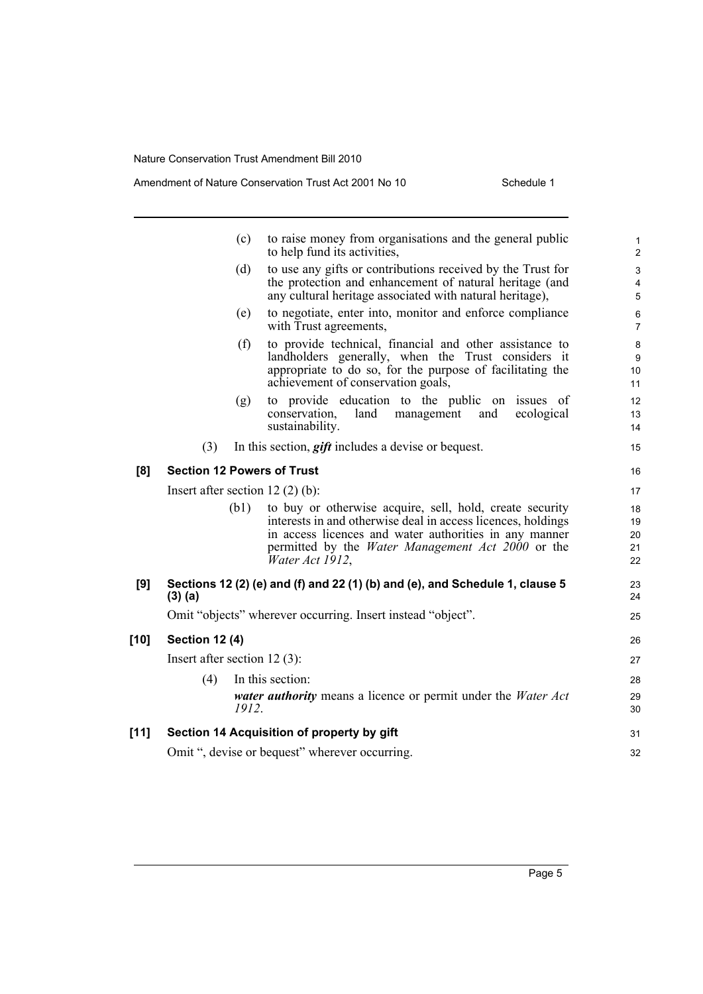|        |                                | (c)   | to raise money from organisations and the general public<br>to help fund its activities,                                                                                                                                                                          | 1<br>$\overline{2}$        |
|--------|--------------------------------|-------|-------------------------------------------------------------------------------------------------------------------------------------------------------------------------------------------------------------------------------------------------------------------|----------------------------|
|        |                                | (d)   | to use any gifts or contributions received by the Trust for<br>the protection and enhancement of natural heritage (and<br>any cultural heritage associated with natural heritage),                                                                                | 3<br>4<br>5                |
|        |                                | (e)   | to negotiate, enter into, monitor and enforce compliance<br>with Trust agreements,                                                                                                                                                                                | 6<br>$\overline{7}$        |
|        |                                | (f)   | to provide technical, financial and other assistance to<br>landholders generally, when the Trust considers it<br>appropriate to do so, for the purpose of facilitating the<br>achievement of conservation goals,                                                  | 8<br>9<br>10<br>11         |
|        |                                | (g)   | to provide education to the public on issues of<br>conservation,<br>and<br>land<br>management<br>ecological<br>sustainability.                                                                                                                                    | 12<br>13<br>14             |
|        | (3)                            |       | In this section, <i>gift</i> includes a devise or bequest.                                                                                                                                                                                                        | 15                         |
| [8]    |                                |       | <b>Section 12 Powers of Trust</b>                                                                                                                                                                                                                                 | 16                         |
|        |                                |       | Insert after section 12 $(2)$ $(b)$ :                                                                                                                                                                                                                             | 17                         |
|        |                                | (b1)  | to buy or otherwise acquire, sell, hold, create security<br>interests in and otherwise deal in access licences, holdings<br>in access licences and water authorities in any manner<br>permitted by the <i>Water Management Act 2000</i> or the<br>Water Act 1912, | 18<br>19<br>20<br>21<br>22 |
| [9]    | $(3)$ (a)                      |       | Sections 12 (2) (e) and (f) and 22 (1) (b) and (e), and Schedule 1, clause 5                                                                                                                                                                                      | 23<br>24                   |
|        |                                |       | Omit "objects" wherever occurring. Insert instead "object".                                                                                                                                                                                                       | 25                         |
| $[10]$ | <b>Section 12 (4)</b>          |       |                                                                                                                                                                                                                                                                   | 26                         |
|        | Insert after section $12(3)$ : |       |                                                                                                                                                                                                                                                                   | 27                         |
|        | (4)                            |       | In this section:                                                                                                                                                                                                                                                  | 28                         |
|        |                                | 1912. | <i>water authority</i> means a licence or permit under the <i>Water Act</i>                                                                                                                                                                                       | 29<br>30                   |
| $[11]$ |                                |       | Section 14 Acquisition of property by gift                                                                                                                                                                                                                        | 31                         |
|        |                                |       | Omit ", devise or bequest" wherever occurring.                                                                                                                                                                                                                    | 32                         |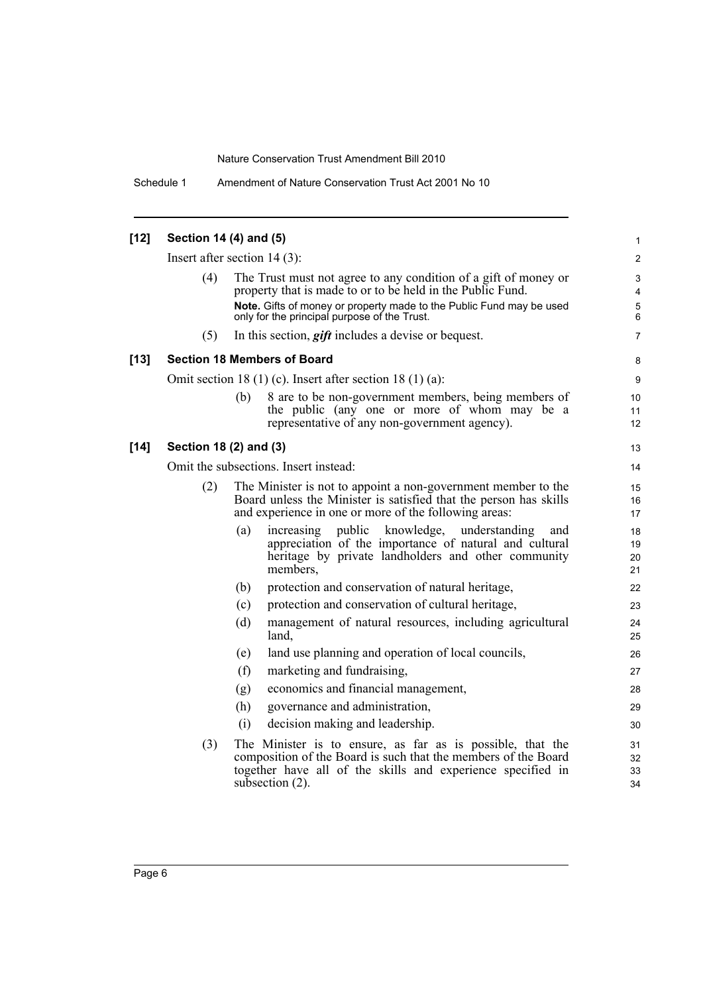Schedule 1 Amendment of Nature Conservation Trust Act 2001 No 10

| $[12]$ | Section 14 (4) and (5)                                                                                                                                                                             |                                |                                                                                                                                                                                                                   | 1                                                 |  |  |  |  |
|--------|----------------------------------------------------------------------------------------------------------------------------------------------------------------------------------------------------|--------------------------------|-------------------------------------------------------------------------------------------------------------------------------------------------------------------------------------------------------------------|---------------------------------------------------|--|--|--|--|
|        |                                                                                                                                                                                                    | Insert after section $14(3)$ : |                                                                                                                                                                                                                   |                                                   |  |  |  |  |
|        | (4)                                                                                                                                                                                                |                                | The Trust must not agree to any condition of a gift of money or<br>property that is made to or to be held in the Public Fund.                                                                                     | 2<br>$\ensuremath{\mathsf{3}}$<br>4<br>$\sqrt{5}$ |  |  |  |  |
|        |                                                                                                                                                                                                    |                                | Note. Gifts of money or property made to the Public Fund may be used<br>only for the principal purpose of the Trust.                                                                                              |                                                   |  |  |  |  |
|        | (5)                                                                                                                                                                                                |                                | In this section, <i>gift</i> includes a devise or bequest.                                                                                                                                                        | $\overline{7}$                                    |  |  |  |  |
| $[13]$ |                                                                                                                                                                                                    |                                | <b>Section 18 Members of Board</b>                                                                                                                                                                                | 8                                                 |  |  |  |  |
|        |                                                                                                                                                                                                    |                                | Omit section 18 (1) (c). Insert after section 18 (1) (a):                                                                                                                                                         | 9                                                 |  |  |  |  |
|        |                                                                                                                                                                                                    | (b)                            | 8 are to be non-government members, being members of<br>the public (any one or more of whom may be a<br>representative of any non-government agency).                                                             | 10<br>11<br>12                                    |  |  |  |  |
| $[14]$ | Section 18 (2) and (3)                                                                                                                                                                             |                                |                                                                                                                                                                                                                   | 13                                                |  |  |  |  |
|        | Omit the subsections. Insert instead:                                                                                                                                                              |                                |                                                                                                                                                                                                                   |                                                   |  |  |  |  |
|        | (2)<br>The Minister is not to appoint a non-government member to the<br>Board unless the Minister is satisfied that the person has skills<br>and experience in one or more of the following areas: |                                |                                                                                                                                                                                                                   | 15<br>16<br>17                                    |  |  |  |  |
|        |                                                                                                                                                                                                    | (a)                            | public knowledge, understanding<br>increasing<br>and<br>appreciation of the importance of natural and cultural<br>heritage by private landholders and other community<br>members,                                 | 18<br>19<br>20<br>21                              |  |  |  |  |
|        |                                                                                                                                                                                                    | (b)                            | protection and conservation of natural heritage,                                                                                                                                                                  | 22                                                |  |  |  |  |
|        |                                                                                                                                                                                                    | (c)                            | protection and conservation of cultural heritage,                                                                                                                                                                 | 23                                                |  |  |  |  |
|        |                                                                                                                                                                                                    | (d)                            | management of natural resources, including agricultural<br>land,                                                                                                                                                  | 24<br>25                                          |  |  |  |  |
|        |                                                                                                                                                                                                    | (e)                            | land use planning and operation of local councils,                                                                                                                                                                | 26                                                |  |  |  |  |
|        |                                                                                                                                                                                                    | (f)                            | marketing and fundraising,                                                                                                                                                                                        | 27                                                |  |  |  |  |
|        |                                                                                                                                                                                                    | (g)                            | economics and financial management,                                                                                                                                                                               | 28                                                |  |  |  |  |
|        |                                                                                                                                                                                                    | (h)                            | governance and administration,                                                                                                                                                                                    | 29                                                |  |  |  |  |
|        |                                                                                                                                                                                                    | (i)                            | decision making and leadership.                                                                                                                                                                                   | 30                                                |  |  |  |  |
|        | (3)                                                                                                                                                                                                |                                | The Minister is to ensure, as far as is possible, that the<br>composition of the Board is such that the members of the Board<br>together have all of the skills and experience specified in<br>subsection $(2)$ . | 31<br>32<br>33<br>34                              |  |  |  |  |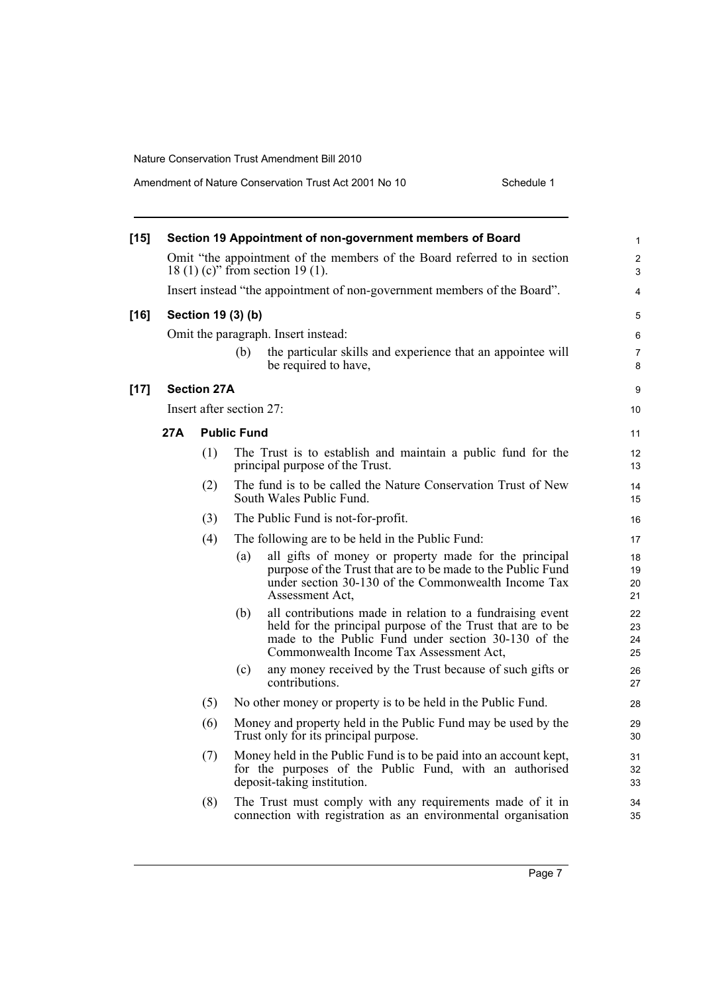| Amendment of Nature Conservation Trust Act 2001 No 10 | Schedule 1 |
|-------------------------------------------------------|------------|
|-------------------------------------------------------|------------|

| $[15]$ | Section 19 Appointment of non-government members of Board                                                     |     |                          |                                                                                                                                                                                                                           | $\mathbf{1}$         |
|--------|---------------------------------------------------------------------------------------------------------------|-----|--------------------------|---------------------------------------------------------------------------------------------------------------------------------------------------------------------------------------------------------------------------|----------------------|
|        | 18 (1) (c)" from section 19 (1).                                                                              |     |                          | Omit "the appointment of the members of the Board referred to in section                                                                                                                                                  | $\overline{2}$<br>3  |
|        | Insert instead "the appointment of non-government members of the Board".                                      |     |                          |                                                                                                                                                                                                                           | 4                    |
| $[16]$ |                                                                                                               |     | Section 19 (3) (b)       |                                                                                                                                                                                                                           | 5                    |
|        |                                                                                                               |     |                          | Omit the paragraph. Insert instead:                                                                                                                                                                                       | 6                    |
|        |                                                                                                               |     | (b)                      | the particular skills and experience that an appointee will<br>be required to have,                                                                                                                                       | $\overline{7}$<br>8  |
| $[17]$ | <b>Section 27A</b>                                                                                            |     |                          |                                                                                                                                                                                                                           | 9                    |
|        |                                                                                                               |     | Insert after section 27: |                                                                                                                                                                                                                           | 10                   |
|        | 27A                                                                                                           |     | <b>Public Fund</b>       |                                                                                                                                                                                                                           | 11                   |
|        |                                                                                                               | (1) |                          | The Trust is to establish and maintain a public fund for the<br>principal purpose of the Trust.                                                                                                                           | 12<br>13             |
|        |                                                                                                               | (2) |                          | The fund is to be called the Nature Conservation Trust of New<br>South Wales Public Fund.                                                                                                                                 | 14<br>15             |
|        | (3)<br>The Public Fund is not-for-profit.                                                                     |     | 16                       |                                                                                                                                                                                                                           |                      |
|        |                                                                                                               | (4) |                          | The following are to be held in the Public Fund:                                                                                                                                                                          | 17                   |
|        |                                                                                                               |     | (a)                      | all gifts of money or property made for the principal<br>purpose of the Trust that are to be made to the Public Fund<br>under section 30-130 of the Commonwealth Income Tax<br>Assessment Act,                            | 18<br>19<br>20<br>21 |
|        |                                                                                                               |     | (b)                      | all contributions made in relation to a fundraising event<br>held for the principal purpose of the Trust that are to be<br>made to the Public Fund under section 30-130 of the<br>Commonwealth Income Tax Assessment Act, | 22<br>23<br>24<br>25 |
|        |                                                                                                               |     | (c)                      | any money received by the Trust because of such gifts or<br>contributions.                                                                                                                                                | 26<br>27             |
|        |                                                                                                               | (5) |                          | No other money or property is to be held in the Public Fund.                                                                                                                                                              | 28                   |
|        | (6)<br>Money and property held in the Public Fund may be used by the<br>Trust only for its principal purpose. |     |                          | 29<br>30                                                                                                                                                                                                                  |                      |
|        |                                                                                                               | (7) |                          | Money held in the Public Fund is to be paid into an account kept,<br>for the purposes of the Public Fund, with an authorised<br>deposit-taking institution.                                                               | 31<br>32<br>33       |
|        |                                                                                                               | (8) |                          | The Trust must comply with any requirements made of it in<br>connection with registration as an environmental organisation                                                                                                | 34<br>35             |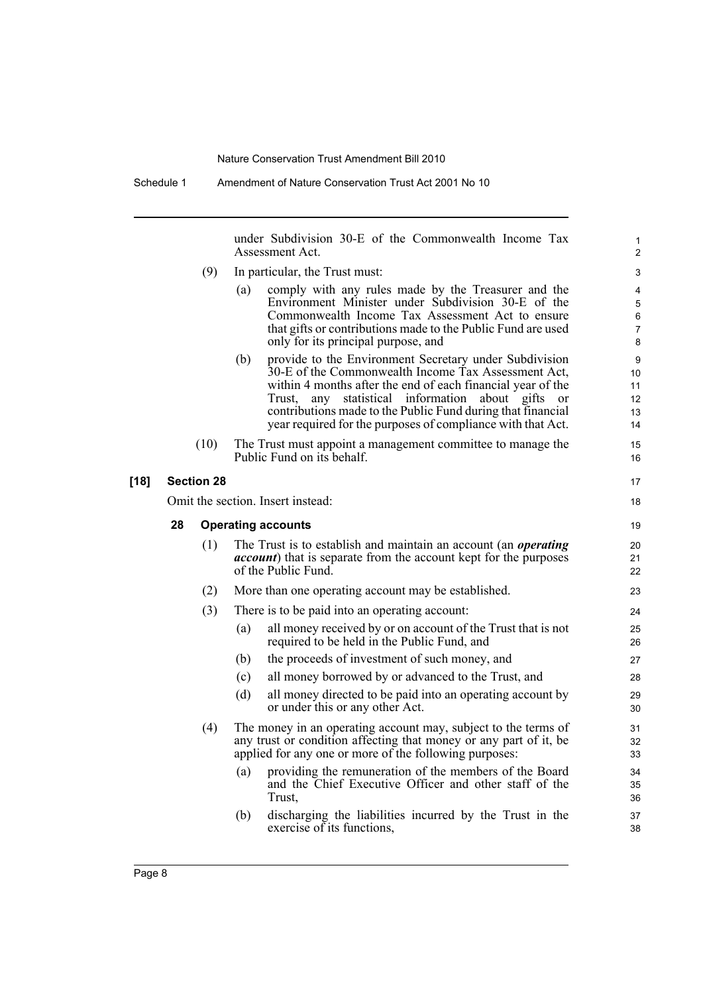under Subdivision 30-E of the Commonwealth Income Tax Assessment Act. (9) In particular, the Trust must: (a) comply with any rules made by the Treasurer and the Environment Minister under Subdivision 30-E of the Commonwealth Income Tax Assessment Act to ensure that gifts or contributions made to the Public Fund are used only for its principal purpose, and (b) provide to the Environment Secretary under Subdivision 30-E of the Commonwealth Income Tax Assessment Act, within 4 months after the end of each financial year of the Trust, any statistical information about gifts or contributions made to the Public Fund during that financial year required for the purposes of compliance with that Act. (10) The Trust must appoint a management committee to manage the Public Fund on its behalf. **[18] Section 28** Omit the section. Insert instead: **28 Operating accounts** (1) The Trust is to establish and maintain an account (an *operating account*) that is separate from the account kept for the purposes of the Public Fund. (2) More than one operating account may be established. (3) There is to be paid into an operating account: (a) all money received by or on account of the Trust that is not required to be held in the Public Fund, and (b) the proceeds of investment of such money, and (c) all money borrowed by or advanced to the Trust, and (d) all money directed to be paid into an operating account by or under this or any other Act. (4) The money in an operating account may, subject to the terms of any trust or condition affecting that money or any part of it, be applied for any one or more of the following purposes: (a) providing the remuneration of the members of the Board and the Chief Executive Officer and other staff of the Trust, (b) discharging the liabilities incurred by the Trust in the exercise of its functions, 1 2 3 4 5 6 7 8  $\alpha$ 10 11 12 13 14 15 16 17 18 19  $20$ 21 22 23 24 25 26 27 28 29 30 31 32 33 34 35 36 37 38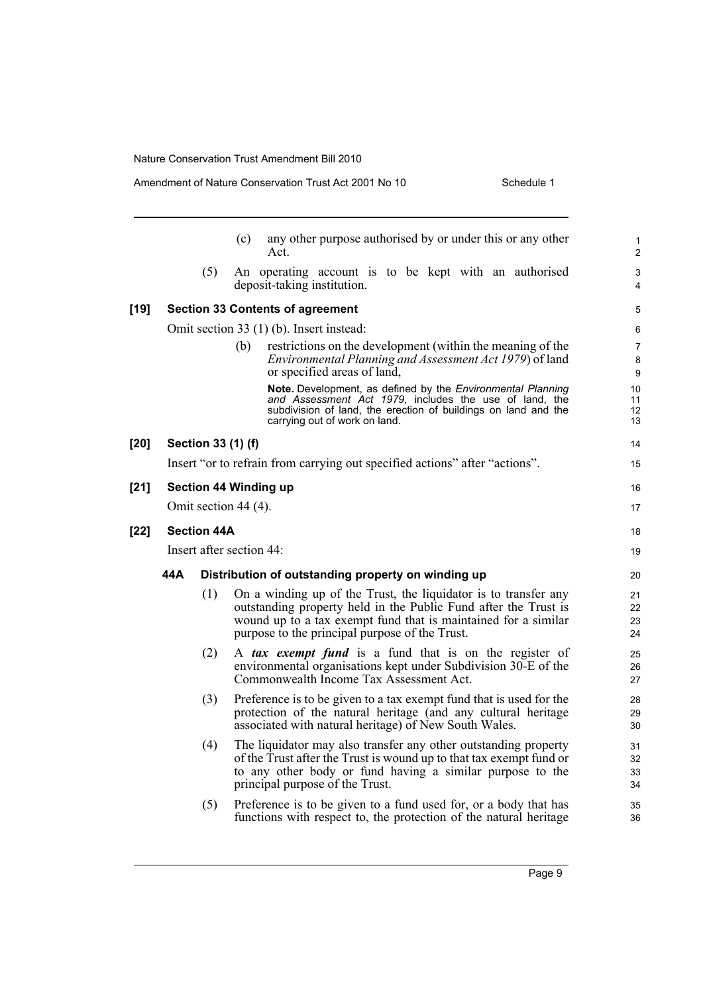|        |     |                    | Amendment of Nature Conservation Trust Act 2001 No 10<br>Schedule 1                                                                                                                                                                                    |                                |
|--------|-----|--------------------|--------------------------------------------------------------------------------------------------------------------------------------------------------------------------------------------------------------------------------------------------------|--------------------------------|
|        |     |                    | any other purpose authorised by or under this or any other<br>(c)<br>Act.                                                                                                                                                                              | $\mathbf{1}$<br>$\overline{2}$ |
|        |     | (5)                | An operating account is to be kept with an authorised<br>deposit-taking institution.                                                                                                                                                                   | 3<br>4                         |
| $[19]$ |     |                    | <b>Section 33 Contents of agreement</b>                                                                                                                                                                                                                | 5                              |
|        |     |                    | Omit section 33 (1) (b). Insert instead:                                                                                                                                                                                                               | 6                              |
|        |     |                    | restrictions on the development (within the meaning of the<br>(b)<br><i>Environmental Planning and Assessment Act 1979</i> ) of land<br>or specified areas of land,                                                                                    | 7<br>8<br>9                    |
|        |     |                    | Note. Development, as defined by the Environmental Planning<br>and Assessment Act 1979, includes the use of land, the<br>subdivision of land, the erection of buildings on land and the<br>carrying out of work on land.                               | 10<br>11<br>12<br>13           |
| $[20]$ |     | Section 33 (1) (f) |                                                                                                                                                                                                                                                        | 14                             |
|        |     |                    | Insert "or to refrain from carrying out specified actions" after "actions".                                                                                                                                                                            | 15                             |
| $[21]$ |     |                    | <b>Section 44 Winding up</b>                                                                                                                                                                                                                           | 16                             |
|        |     |                    | Omit section 44 (4).                                                                                                                                                                                                                                   | 17                             |
| $[22]$ |     | <b>Section 44A</b> |                                                                                                                                                                                                                                                        | 18                             |
|        |     |                    | Insert after section 44:                                                                                                                                                                                                                               | 19                             |
|        | 44A |                    | Distribution of outstanding property on winding up                                                                                                                                                                                                     | 20                             |
|        |     | (1)                | On a winding up of the Trust, the liquidator is to transfer any<br>outstanding property held in the Public Fund after the Trust is<br>wound up to a tax exempt fund that is maintained for a similar<br>purpose to the principal purpose of the Trust. | 21<br>22<br>23<br>24           |
|        |     | (2)                | A tax exempt fund is a fund that is on the register of<br>environmental organisations kept under Subdivision 30-E of the<br>Commonwealth Income Tax Assessment Act.                                                                                    | 25<br>26<br>27                 |
|        |     | (3)                | Preference is to be given to a tax exempt fund that is used for the<br>protection of the natural heritage (and any cultural heritage<br>associated with natural heritage) of New South Wales.                                                          | 28<br>29<br>30                 |
|        |     | (4)                | The liquidator may also transfer any other outstanding property<br>of the Trust after the Trust is wound up to that tax exempt fund or<br>to any other body or fund having a similar purpose to the<br>principal purpose of the Trust.                 | 31<br>32<br>33<br>34           |
|        |     | (5)                | Preference is to be given to a fund used for, or a body that has<br>functions with respect to, the protection of the natural heritage                                                                                                                  | 35<br>36                       |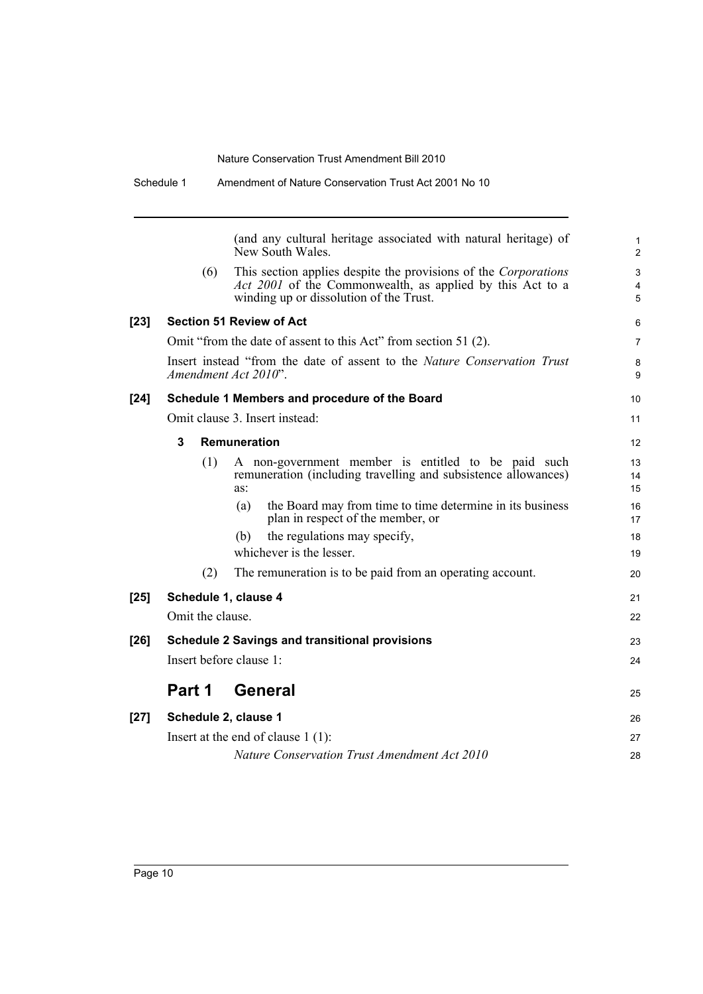| $[27]$ |                  | Schedule 2, clause 1<br>Insert at the end of clause $1(1)$ :<br>Nature Conservation Trust Amendment Act 2010                                                            | 26<br>27 |
|--------|------------------|-------------------------------------------------------------------------------------------------------------------------------------------------------------------------|----------|
|        | Part 1           | <b>General</b>                                                                                                                                                          | 25       |
| $[26]$ |                  | <b>Schedule 2 Savings and transitional provisions</b><br>Insert before clause 1:                                                                                        |          |
|        | Omit the clause. |                                                                                                                                                                         | 22       |
| $[25]$ |                  | Schedule 1, clause 4                                                                                                                                                    | 21       |
|        | (2)              | The remuneration is to be paid from an operating account.                                                                                                               |          |
|        |                  | the regulations may specify,<br>(b)<br>whichever is the lesser.                                                                                                         |          |
|        |                  | plan in respect of the member, or                                                                                                                                       |          |
|        |                  | as:<br>the Board may from time to time determine in its business<br>(a)                                                                                                 |          |
|        | (1)              | A non-government member is entitled to be paid such<br>remuneration (including travelling and subsistence allowances)                                                   |          |
|        | 3                | <b>Remuneration</b>                                                                                                                                                     |          |
|        |                  | Omit clause 3. Insert instead:                                                                                                                                          |          |
| $[24]$ |                  | Schedule 1 Members and procedure of the Board                                                                                                                           |          |
|        |                  | Insert instead "from the date of assent to the Nature Conservation Trust<br>Amendment Act 2010".                                                                        |          |
|        |                  | Omit "from the date of assent to this Act" from section 51 (2).                                                                                                         |          |
| $[23]$ |                  | <b>Section 51 Review of Act</b>                                                                                                                                         |          |
|        | (6)              | This section applies despite the provisions of the Corporations<br>Act 2001 of the Commonwealth, as applied by this Act to a<br>winding up or dissolution of the Trust. |          |
|        |                  | (and any cultural heritage associated with natural heritage) of<br>New South Wales.                                                                                     |          |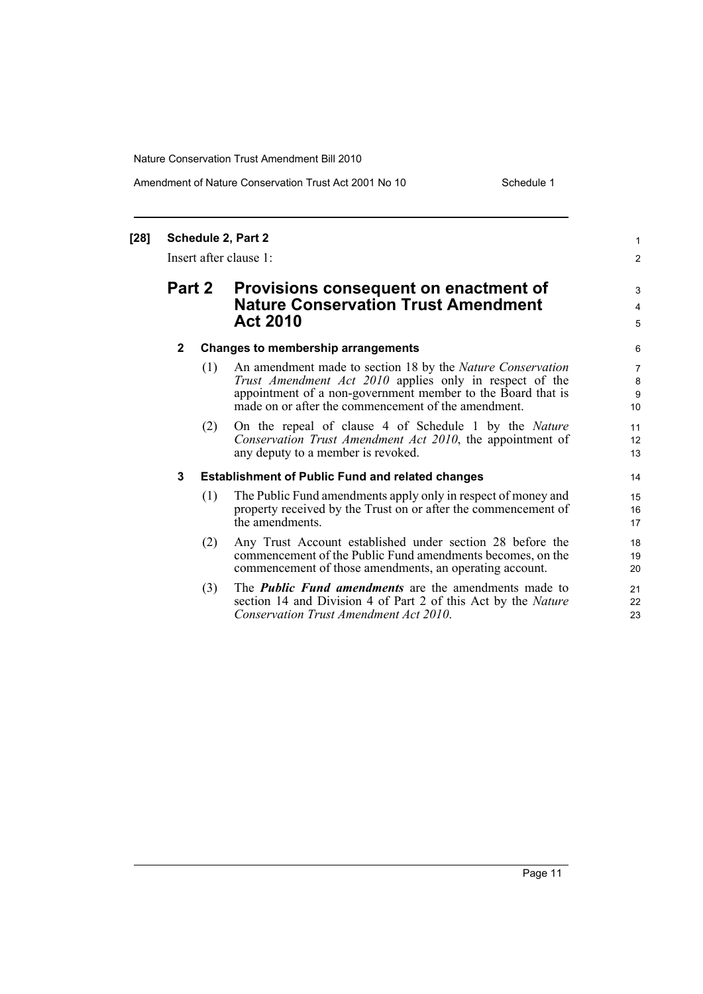#### Amendment of Nature Conservation Trust Act 2001 No 10 Schedule 1

1 2

3 4 5

### **[28] Schedule 2, Part 2** Insert after clause 1: **Part 2 Provisions consequent on enactment of Nature Conservation Trust Amendment Act 2010 2 Changes to membership arrangements** (1) An amendment made to section 18 by the *Nature Conservation Trust Amendment Act 2010* applies only in respect of the appointment of a non-government member to the Board that is made on or after the commencement of the amendment. (2) On the repeal of clause 4 of Schedule 1 by the *Nature Conservation Trust Amendment Act 2010*, the appointment of any deputy to a member is revoked. **3 Establishment of Public Fund and related changes** (1) The Public Fund amendments apply only in respect of money and property received by the Trust on or after the commencement of the amendments. (2) Any Trust Account established under section 28 before the commencement of the Public Fund amendments becomes, on the commencement of those amendments, an operating account. (3) The *Public Fund amendments* are the amendments made to section 14 and Division 4 of Part 2 of this Act by the *Nature Conservation Trust Amendment Act 2010*.

Page 11